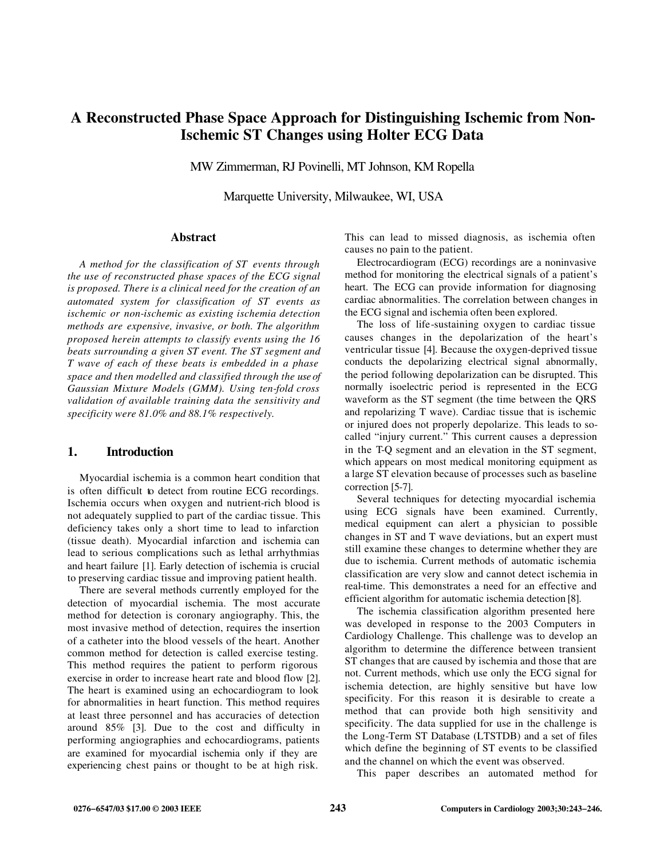# **A Reconstructed Phase Space Approach for Distinguishing Ischemic from Non-Ischemic ST Changes using Holter ECG Data**

MW Zimmerman, RJ Povinelli, MT Johnson, KM Ropella

Marquette University, Milwaukee, WI, USA

#### **Abstract**

*A method for the classification of ST events through the use of reconstructed phase spaces of the ECG signal is proposed. There is a clinical need for the creation of an automated system for classification of ST events as ischemic or non-ischemic as existing ischemia detection methods are expensive, invasive, or both. The algorithm proposed herein attempts to classify events using the 16 beats surrounding a given ST event. The ST segment and T wave of each of these beats is embedded in a phase space and then modelled and classified through the use of Gaussian Mixture Models (GMM). Using ten-fold cross validation of available training data the sensitivity and specificity were 81.0% and 88.1% respectively.*

#### **1. Introduction**

Myocardial ischemia is a common heart condition that is often difficult to detect from routine ECG recordings. Ischemia occurs when oxygen and nutrient-rich blood is not adequately supplied to part of the cardiac tissue. This deficiency takes only a short time to lead to infarction (tissue death). Myocardial infarction and ischemia can lead to serious complications such as lethal arrhythmias and heart failure [1]. Early detection of ischemia is crucial to preserving cardiac tissue and improving patient health.

There are several methods currently employed for the detection of myocardial ischemia. The most accurate method for detection is coronary angiography. This, the most invasive method of detection, requires the insertion of a catheter into the blood vessels of the heart. Another common method for detection is called exercise testing. This method requires the patient to perform rigorous exercise in order to increase heart rate and blood flow [2]. The heart is examined using an echocardiogram to look for abnormalities in heart function. This method requires at least three personnel and has accuracies of detection around 85% [3]. Due to the cost and difficulty in performing angiographies and echocardiograms, patients are examined for myocardial ischemia only if they are experiencing chest pains or thought to be at high risk.

This can lead to missed diagnosis, as ischemia often causes no pain to the patient.

Electrocardiogram (ECG) recordings are a noninvasive method for monitoring the electrical signals of a patient's heart. The ECG can provide information for diagnosing cardiac abnormalities. The correlation between changes in the ECG signal and ischemia often been explored.

The loss of life-sustaining oxygen to cardiac tissue causes changes in the depolarization of the heart's ventricular tissue [4]. Because the oxygen-deprived tissue conducts the depolarizing electrical signal abnormally, the period following depolarization can be disrupted. This normally isoelectric period is represented in the ECG waveform as the ST segment (the time between the QRS and repolarizing T wave). Cardiac tissue that is ischemic or injured does not properly depolarize. This leads to socalled "injury current." This current causes a depression in the T-Q segment and an elevation in the ST segment, which appears on most medical monitoring equipment as a large ST elevation because of processes such as baseline correction [5-7].

Several techniques for detecting myocardial ischemia using ECG signals have been examined. Currently, medical equipment can alert a physician to possible changes in ST and T wave deviations, but an expert must still examine these changes to determine whether they are due to ischemia. Current methods of automatic ischemia classification are very slow and cannot detect ischemia in real-time. This demonstrates a need for an effective and efficient algorithm for automatic ischemia detection [8].

The ischemia classification algorithm presented here was developed in response to the 2003 Computers in Cardiology Challenge. This challenge was to develop an algorithm to determine the difference between transient ST changes that are caused by ischemia and those that are not. Current methods, which use only the ECG signal for ischemia detection, are highly sensitive but have low specificity. For this reason it is desirable to create a method that can provide both high sensitivity and specificity. The data supplied for use in the challenge is the Long-Term ST Database (LTSTDB) and a set of files which define the beginning of ST events to be classified and the channel on which the event was observed.

This paper describes an automated method for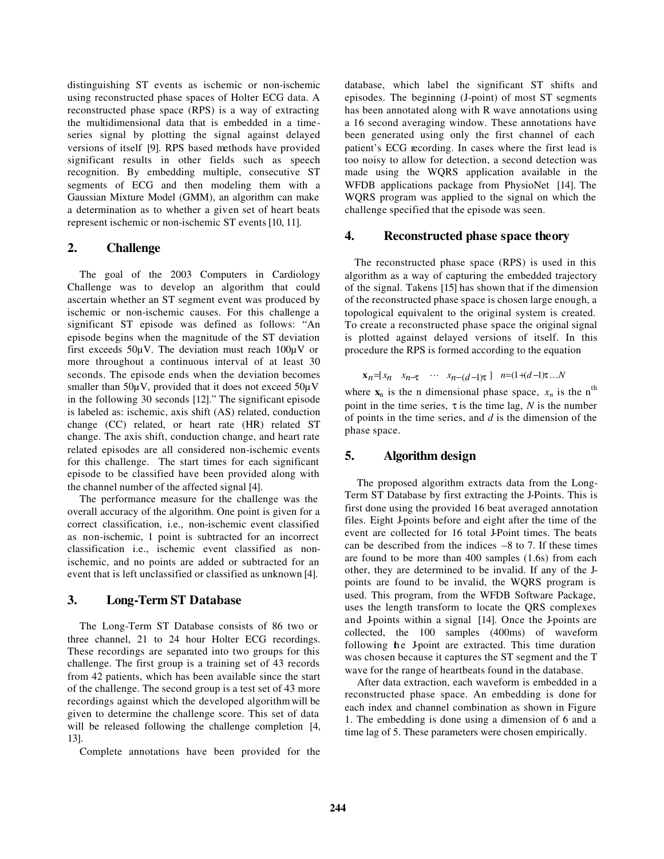distinguishing ST events as ischemic or non-ischemic using reconstructed phase spaces of Holter ECG data. A reconstructed phase space (RPS) is a way of extracting the multidimensional data that is embedded in a timeseries signal by plotting the signal against delayed versions of itself [9]. RPS based methods have provided significant results in other fields such as speech recognition. By embedding multiple, consecutive ST segments of ECG and then modeling them with a Gaussian Mixture Model (GMM), an algorithm can make a determination as to whether a given set of heart beats represent ischemic or non-ischemic ST events [10, 11].

### **2. Challenge**

The goal of the 2003 Computers in Cardiology Challenge was to develop an algorithm that could ascertain whether an ST segment event was produced by ischemic or non-ischemic causes. For this challenge a significant ST episode was defined as follows: "An episode begins when the magnitude of the ST deviation first exceeds  $50\mu$ V. The deviation must reach  $100\mu$ V or more throughout a continuous interval of at least 30 seconds. The episode ends when the deviation becomes smaller than 50 $\mu$ V, provided that it does not exceed 50 $\mu$ V in the following 30 seconds [12]." The significant episode is labeled as: ischemic, axis shift (AS) related, conduction change (CC) related, or heart rate (HR) related ST change. The axis shift, conduction change, and heart rate related episodes are all considered non-ischemic events for this challenge. The start times for each significant episode to be classified have been provided along with the channel number of the affected signal [4].

The performance measure for the challenge was the overall accuracy of the algorithm. One point is given for a correct classification, i.e., non-ischemic event classified as non-ischemic, 1 point is subtracted for an incorrect classification i.e., ischemic event classified as nonischemic, and no points are added or subtracted for an event that is left unclassified or classified as unknown [4].

## **3. Long-Term ST Database**

The Long-Term ST Database consists of 86 two or three channel, 21 to 24 hour Holter ECG recordings. These recordings are separated into two groups for this challenge. The first group is a training set of 43 records from 42 patients, which has been available since the start of the challenge. The second group is a test set of 43 more recordings against which the developed algorithm will be given to determine the challenge score. This set of data will be released following the challenge completion [4, 13].

Complete annotations have been provided for the

database, which label the significant ST shifts and episodes. The beginning (J-point) of most ST segments has been annotated along with R wave annotations using a 16 second averaging window. These annotations have been generated using only the first channel of each patient's ECG recording. In cases where the first lead is too noisy to allow for detection, a second detection was made using the WQRS application available in the WFDB applications package from PhysioNet [14]. The WQRS program was applied to the signal on which the challenge specified that the episode was seen.

#### **4. Reconstructed phase space theory**

The reconstructed phase space (RPS) is used in this algorithm as a way of capturing the embedded trajectory of the signal. Takens [15] has shown that if the dimension of the reconstructed phase space is chosen large enough, a topological equivalent to the original system is created. To create a reconstructed phase space the original signal is plotted against delayed versions of itself. In this procedure the RPS is formed according to the equation

$$
\mathbf{x}_n = [x_n \quad x_{n-\tau} \quad \cdots \quad x_{n-(d-1)\tau}] \quad n = (1+(d-1)\tau) \dots N
$$

where  $\mathbf{x}_n$  is the n dimensional phase space,  $x_n$  is the n<sup>th</sup> point in the time series,  $\tau$  is the time lag, N is the number of points in the time series, and *d* is the dimension of the phase space.

## **5. Algorithm design**

The proposed algorithm extracts data from the Long-Term ST Database by first extracting the J-Points. This is first done using the provided 16 beat averaged annotation files. Eight J-points before and eight after the time of the event are collected for 16 total J-Point times. The beats can be described from the indices  $-8$  to 7. If these times are found to be more than 400 samples (1.6s) from each other, they are determined to be invalid. If any of the Jpoints are found to be invalid, the WQRS program is used. This program, from the WFDB Software Package, uses the length transform to locate the QRS complexes and J-points within a signal [14]. Once the J-points are collected, the 100 samples (400ms) of waveform following the J-point are extracted. This time duration was chosen because it captures the ST segment and the T wave for the range of heartbeats found in the database.

After data extraction, each waveform is embedded in a reconstructed phase space. An embedding is done for each index and channel combination as shown in Figure 1. The embedding is done using a dimension of 6 and a time lag of 5. These parameters were chosen empirically.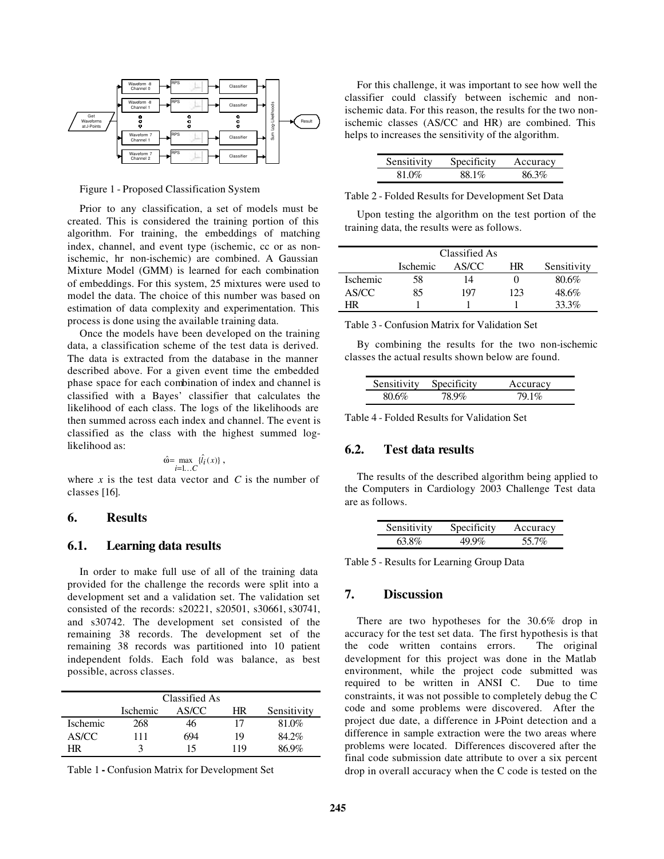

Figure 1 - Proposed Classification System

Prior to any classification, a set of models must be created. This is considered the training portion of this algorithm. For training, the embeddings of matching index, channel, and event type (ischemic, cc or as nonischemic, hr non-ischemic) are combined. A Gaussian Mixture Model (GMM) is learned for each combination of embeddings. For this system, 25 mixtures were used to model the data. The choice of this number was based on estimation of data complexity and experimentation. This process is done using the available training data.

Once the models have been developed on the training data, a classification scheme of the test data is derived. The data is extracted from the database in the manner described above. For a given event time the embedded phase space for each combination of index and channel is classified with a Bayes' classifier that calculates the likelihood of each class. The logs of the likelihoods are then summed across each index and channel. The event is classified as the class with the highest summed loglikelihood as:

$$
\hat{\omega} = \max_{i=1...C} \{ \hat{l}_i(x) \},
$$

where  $x$  is the test data vector and  $C$  is the number of classes [16].

## **6. Results**

## **6.1. Learning data results**

In order to make full use of all of the training data provided for the challenge the records were split into a development set and a validation set. The validation set consisted of the records: s20221, s20501, s30661, s30741, and s30742. The development set consisted of the remaining 38 records. The development set of the remaining 38 records was partitioned into 10 patient independent folds. Each fold was balance, as best possible, across classes.

|                 | Classified As |       |     |             |
|-----------------|---------------|-------|-----|-------------|
|                 | Ischemic      | AS/CC | HR  | Sensitivity |
| <b>Ischemic</b> | 268           | 46    | 17  | 81.0%       |
| AS/CC           | 111           | 694   | 19  | 84.2%       |
| HR              |               | 15    | 119 | 86.9%       |

Table 1 **-** Confusion Matrix for Development Set

For this challenge, it was important to see how well the classifier could classify between ischemic and nonischemic data. For this reason, the results for the two nonischemic classes (AS/CC and HR) are combined. This helps to increases the sensitivity of the algorithm.

| Sensitivity | Specificity | Accuracy |
|-------------|-------------|----------|
| 81 QQ       | 881%        | 863%     |

Table 2 - Folded Results for Development Set Data

Upon testing the algorithm on the test portion of the training data, the results were as follows.

|          | Classified As |       |     |             |
|----------|---------------|-------|-----|-------------|
|          | Ischemic      | AS/CC | HR  | Sensitivity |
| Ischemic | 58            | 14    |     | 80.6%       |
| AS/CC    | 85            | 197   | 123 | 48.6%       |
| HR       |               |       |     | 33.3%       |

Table 3 - Confusion Matrix for Validation Set

By combining the results for the two non-ischemic classes the actual results shown below are found.

| Sensitivity | Specificity | Accuracy |
|-------------|-------------|----------|
|             |             |          |

Table 4 - Folded Results for Validation Set

#### **6.2. Test data results**

The results of the described algorithm being applied to the Computers in Cardiology 2003 Challenge Test data are as follows.

| Sensitivity | Specificity | Accuracy |
|-------------|-------------|----------|
| 63.8%       |             | $557\%$  |

Table 5 - Results for Learning Group Data

## **7. Discussion**

There are two hypotheses for the 30.6% drop in accuracy for the test set data. The first hypothesis is that the code written contains errors. The original development for this project was done in the Matlab environment, while the project code submitted was required to be written in ANSI C. Due to time constraints, it was not possible to completely debug the C code and some problems were discovered. After the project due date, a difference in J-Point detection and a difference in sample extraction were the two areas where problems were located. Differences discovered after the final code submission date attribute to over a six percent drop in overall accuracy when the C code is tested on the